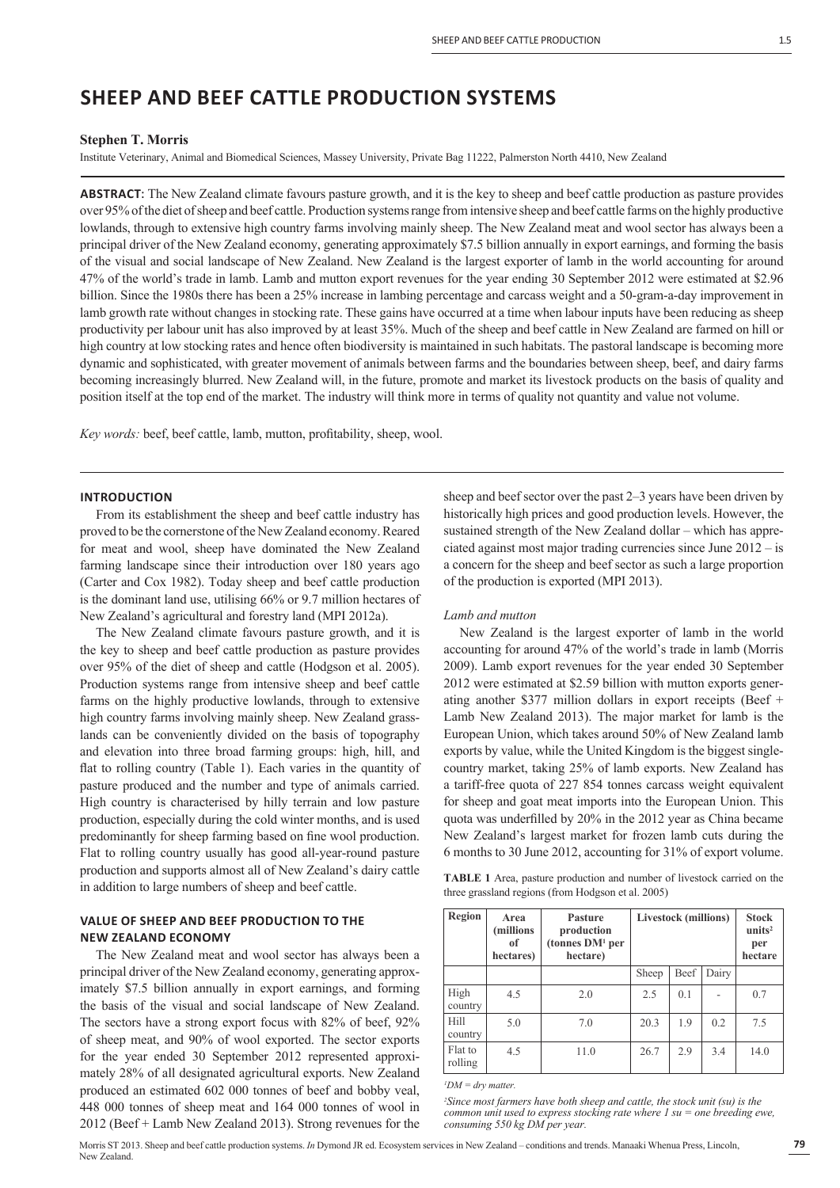# **SHEEP AND BEEF CATTLE PRODUCTION SYSTEMS**

#### **Stephen T. Morris**

Institute Veterinary, Animal and Biomedical Sciences, Massey University, Private Bag 11222, Palmerston North 4410, New Zealand

**ABSTRACT**: The New Zealand climate favours pasture growth, and it is the key to sheep and beef cattle production as pasture provides over 95% of the diet of sheep and beef cattle. Production systems range from intensive sheep and beef cattle farms on the highly productive lowlands, through to extensive high country farms involving mainly sheep. The New Zealand meat and wool sector has always been a principal driver of the New Zealand economy, generating approximately \$7.5 billion annually in export earnings, and forming the basis of the visual and social landscape of New Zealand. New Zealand is the largest exporter of lamb in the world accounting for around 47% of the world's trade in lamb. Lamb and mutton export revenues for the year ending 30 September 2012 were estimated at \$2.96 billion. Since the 1980s there has been a 25% increase in lambing percentage and carcass weight and a 50-gram-a-day improvement in lamb growth rate without changes in stocking rate. These gains have occurred at a time when labour inputs have been reducing as sheep productivity per labour unit has also improved by at least 35%. Much of the sheep and beef cattle in New Zealand are farmed on hill or high country at low stocking rates and hence often biodiversity is maintained in such habitats. The pastoral landscape is becoming more dynamic and sophisticated, with greater movement of animals between farms and the boundaries between sheep, beef, and dairy farms becoming increasingly blurred. New Zealand will, in the future, promote and market its livestock products on the basis of quality and position itself at the top end of the market. The industry will think more in terms of quality not quantity and value not volume.

*Key words:* beef, beef cattle, lamb, mutton, profitability, sheep, wool.

#### **INTRODUCTION**

From its establishment the sheep and beef cattle industry has proved to be the cornerstone of the New Zealand economy. Reared for meat and wool, sheep have dominated the New Zealand farming landscape since their introduction over 180 years ago (Carter and Cox 1982). Today sheep and beef cattle production is the dominant land use, utilising 66% or 9.7 million hectares of New Zealand's agricultural and forestry land (MPI 2012a).

The New Zealand climate favours pasture growth, and it is the key to sheep and beef cattle production as pasture provides over 95% of the diet of sheep and cattle (Hodgson et al. 2005). Production systems range from intensive sheep and beef cattle farms on the highly productive lowlands, through to extensive high country farms involving mainly sheep. New Zealand grasslands can be conveniently divided on the basis of topography and elevation into three broad farming groups: high, hill, and flat to rolling country (Table 1). Each varies in the quantity of pasture produced and the number and type of animals carried. High country is characterised by hilly terrain and low pasture production, especially during the cold winter months, and is used predominantly for sheep farming based on fine wool production. Flat to rolling country usually has good all-year-round pasture production and supports almost all of New Zealand's dairy cattle in addition to large numbers of sheep and beef cattle.

# **VALUE OF SHEEP AND BEEF PRODUCTION TO THE NEW ZEALAND ECONOMY**

The New Zealand meat and wool sector has always been a principal driver of the New Zealand economy, generating approximately \$7.5 billion annually in export earnings, and forming the basis of the visual and social landscape of New Zealand. The sectors have a strong export focus with 82% of beef, 92% of sheep meat, and 90% of wool exported. The sector exports for the year ended 30 September 2012 represented approximately 28% of all designated agricultural exports. New Zealand produced an estimated 602 000 tonnes of beef and bobby veal, 448 000 tonnes of sheep meat and 164 000 tonnes of wool in 2012 (Beef + Lamb New Zealand 2013). Strong revenues for the

sheep and beef sector over the past 2–3 years have been driven by historically high prices and good production levels. However, the sustained strength of the New Zealand dollar – which has appreciated against most major trading currencies since June 2012 – is a concern for the sheep and beef sector as such a large proportion of the production is exported (MPI 2013).

## *Lamb and mutton*

New Zealand is the largest exporter of lamb in the world accounting for around 47% of the world's trade in lamb (Morris 2009). Lamb export revenues for the year ended 30 September 2012 were estimated at \$2.59 billion with mutton exports generating another \$377 million dollars in export receipts (Beef + Lamb New Zealand 2013). The major market for lamb is the European Union, which takes around 50% of New Zealand lamb exports by value, while the United Kingdom is the biggest singlecountry market, taking 25% of lamb exports. New Zealand has a tariff-free quota of 227 854 tonnes carcass weight equivalent for sheep and goat meat imports into the European Union. This quota was underfilled by 20% in the 2012 year as China became New Zealand's largest market for frozen lamb cuts during the 6 months to 30 June 2012, accounting for 31% of export volume.

**TABLE 1** Area, pasture production and number of livestock carried on the three grassland regions (from Hodgson et al. 2005)

| <b>Region</b>      | Area<br>(millions)<br>of<br>hectares) | <b>Pasture</b><br>production<br>(tonnes $DM1$ per<br>hectare) | <b>Livestock</b> (millions) |      |       | <b>Stock</b><br>units <sup>2</sup><br>per<br>hectare |
|--------------------|---------------------------------------|---------------------------------------------------------------|-----------------------------|------|-------|------------------------------------------------------|
|                    |                                       |                                                               | Sheep                       | Beef | Dairy |                                                      |
| High<br>country    | 4.5                                   | 2.0                                                           | 2.5                         | 0.1  |       | 0.7                                                  |
| Hill<br>country    | 5.0                                   | 7.0                                                           | 20.3                        | 1.9  | 0.2   | 7.5                                                  |
| Flat to<br>rolling | 4.5                                   | 11.0                                                          | 26.7                        | 2.9  | 3.4   | 14.0                                                 |

*1 DM = dry matter.*

*2 Since most farmers have both sheep and cattle, the stock unit (su) is the common unit used to express stocking rate where 1 su = one breeding ewe, consuming 550 kg DM per year.*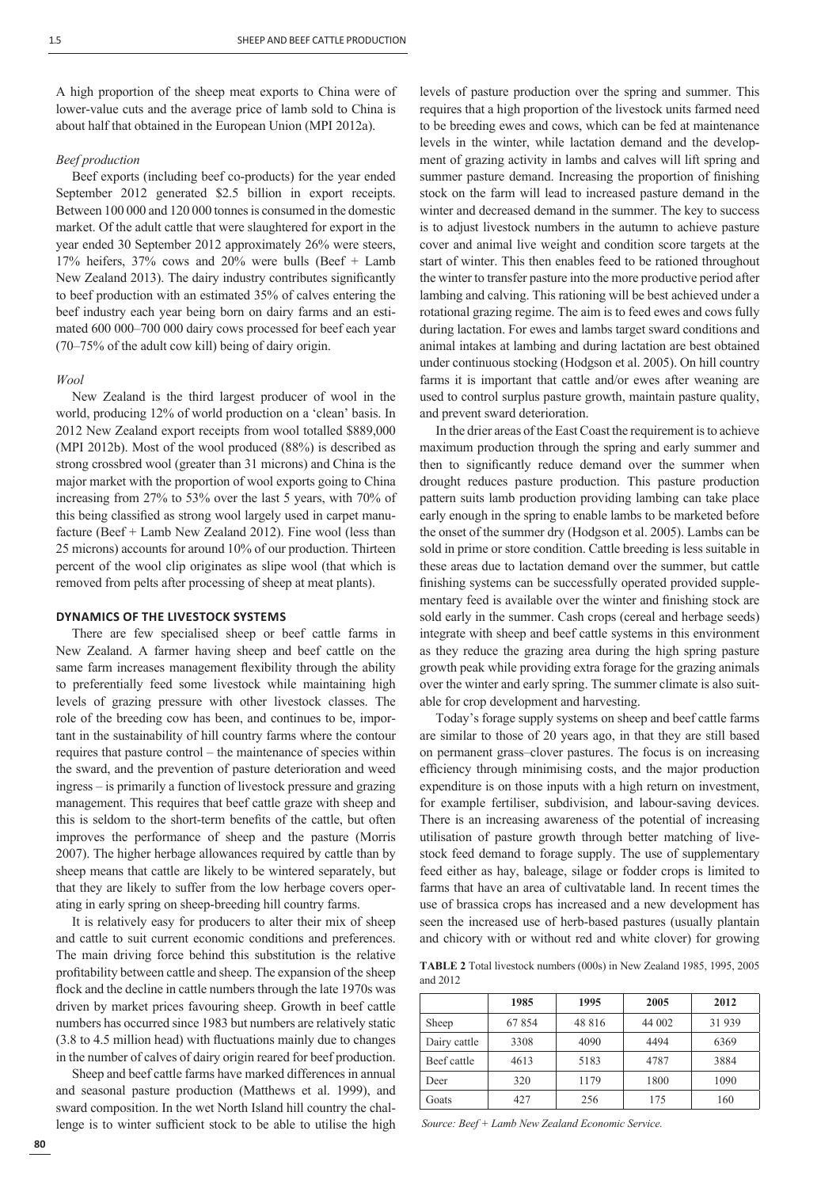A high proportion of the sheep meat exports to China were of lower-value cuts and the average price of lamb sold to China is about half that obtained in the European Union (MPI 2012a).

#### *Beef production*

Beef exports (including beef co-products) for the year ended September 2012 generated \$2.5 billion in export receipts. Between 100 000 and 120 000 tonnes is consumed in the domestic market. Of the adult cattle that were slaughtered for export in the year ended 30 September 2012 approximately 26% were steers, 17% heifers,  $37\%$  cows and  $20\%$  were bulls (Beef + Lamb New Zealand 2013). The dairy industry contributes significantly to beef production with an estimated 35% of calves entering the beef industry each year being born on dairy farms and an estimated 600 000–700 000 dairy cows processed for beef each year (70–75% of the adult cow kill) being of dairy origin.

#### *Wool*

New Zealand is the third largest producer of wool in the world, producing 12% of world production on a 'clean' basis. In 2012 New Zealand export receipts from wool totalled \$889,000 (MPI 2012b). Most of the wool produced (88%) is described as strong crossbred wool (greater than 31 microns) and China is the major market with the proportion of wool exports going to China increasing from 27% to 53% over the last 5 years, with 70% of this being classified as strong wool largely used in carpet manufacture (Beef + Lamb New Zealand 2012). Fine wool (less than 25 microns) accounts for around 10% of our production. Thirteen percent of the wool clip originates as slipe wool (that which is removed from pelts after processing of sheep at meat plants).

#### **DYNAMICS OF THE LIVESTOCK SYSTEMS**

There are few specialised sheep or beef cattle farms in New Zealand. A farmer having sheep and beef cattle on the same farm increases management flexibility through the ability to preferentially feed some livestock while maintaining high levels of grazing pressure with other livestock classes. The role of the breeding cow has been, and continues to be, important in the sustainability of hill country farms where the contour requires that pasture control – the maintenance of species within the sward, and the prevention of pasture deterioration and weed ingress – is primarily a function of livestock pressure and grazing management. This requires that beef cattle graze with sheep and this is seldom to the short-term benefits of the cattle, but often improves the performance of sheep and the pasture (Morris 2007). The higher herbage allowances required by cattle than by sheep means that cattle are likely to be wintered separately, but that they are likely to suffer from the low herbage covers operating in early spring on sheep-breeding hill country farms.

It is relatively easy for producers to alter their mix of sheep and cattle to suit current economic conditions and preferences. The main driving force behind this substitution is the relative profitability between cattle and sheep. The expansion of the sheep flock and the decline in cattle numbers through the late 1970s was driven by market prices favouring sheep. Growth in beef cattle numbers has occurred since 1983 but numbers are relatively static  $(3.8 \text{ to } 4.5 \text{ million head})$  with fluctuations mainly due to changes in the number of calves of dairy origin reared for beef production.

Sheep and beef cattle farms have marked differences in annual and seasonal pasture production (Matthews et al. 1999), and sward composition. In the wet North Island hill country the challenge is to winter sufficient stock to be able to utilise the high levels of pasture production over the spring and summer. This requires that a high proportion of the livestock units farmed need to be breeding ewes and cows, which can be fed at maintenance levels in the winter, while lactation demand and the development of grazing activity in lambs and calves will lift spring and summer pasture demand. Increasing the proportion of finishing stock on the farm will lead to increased pasture demand in the winter and decreased demand in the summer. The key to success is to adjust livestock numbers in the autumn to achieve pasture cover and animal live weight and condition score targets at the start of winter. This then enables feed to be rationed throughout the winter to transfer pasture into the more productive period after lambing and calving. This rationing will be best achieved under a rotational grazing regime. The aim is to feed ewes and cows fully during lactation. For ewes and lambs target sward conditions and animal intakes at lambing and during lactation are best obtained under continuous stocking (Hodgson et al. 2005). On hill country farms it is important that cattle and/or ewes after weaning are used to control surplus pasture growth, maintain pasture quality, and prevent sward deterioration.

In the drier areas of the East Coast the requirement is to achieve maximum production through the spring and early summer and then to significantly reduce demand over the summer when drought reduces pasture production. This pasture production pattern suits lamb production providing lambing can take place early enough in the spring to enable lambs to be marketed before the onset of the summer dry (Hodgson et al. 2005). Lambs can be sold in prime or store condition. Cattle breeding is less suitable in these areas due to lactation demand over the summer, but cattle finishing systems can be successfully operated provided supplementary feed is available over the winter and finishing stock are sold early in the summer. Cash crops (cereal and herbage seeds) integrate with sheep and beef cattle systems in this environment as they reduce the grazing area during the high spring pasture growth peak while providing extra forage for the grazing animals over the winter and early spring. The summer climate is also suitable for crop development and harvesting.

Today's forage supply systems on sheep and beef cattle farms are similar to those of 20 years ago, in that they are still based on permanent grass–clover pastures. The focus is on increasing efficiency through minimising costs, and the major production expenditure is on those inputs with a high return on investment, for example fertiliser, subdivision, and labour-saving devices. There is an increasing awareness of the potential of increasing utilisation of pasture growth through better matching of livestock feed demand to forage supply. The use of supplementary feed either as hay, baleage, silage or fodder crops is limited to farms that have an area of cultivatable land. In recent times the use of brassica crops has increased and a new development has seen the increased use of herb-based pastures (usually plantain and chicory with or without red and white clover) for growing

**TABLE 2** Total livestock numbers (000s) in New Zealand 1985, 1995, 2005 and 2012

|              | 1985  | 1995   | 2005   | 2012  |
|--------------|-------|--------|--------|-------|
| Sheep        | 67854 | 48 816 | 44 002 | 31939 |
| Dairy cattle | 3308  | 4090   | 4494   | 6369  |
| Beef cattle  | 4613  | 5183   | 4787   | 3884  |
| Deer         | 320   | 1179   | 1800   | 1090  |
| Goats        | 427   | 256    | 175    | 160   |

*Source: Beef + Lamb New Zealand Economic Service.*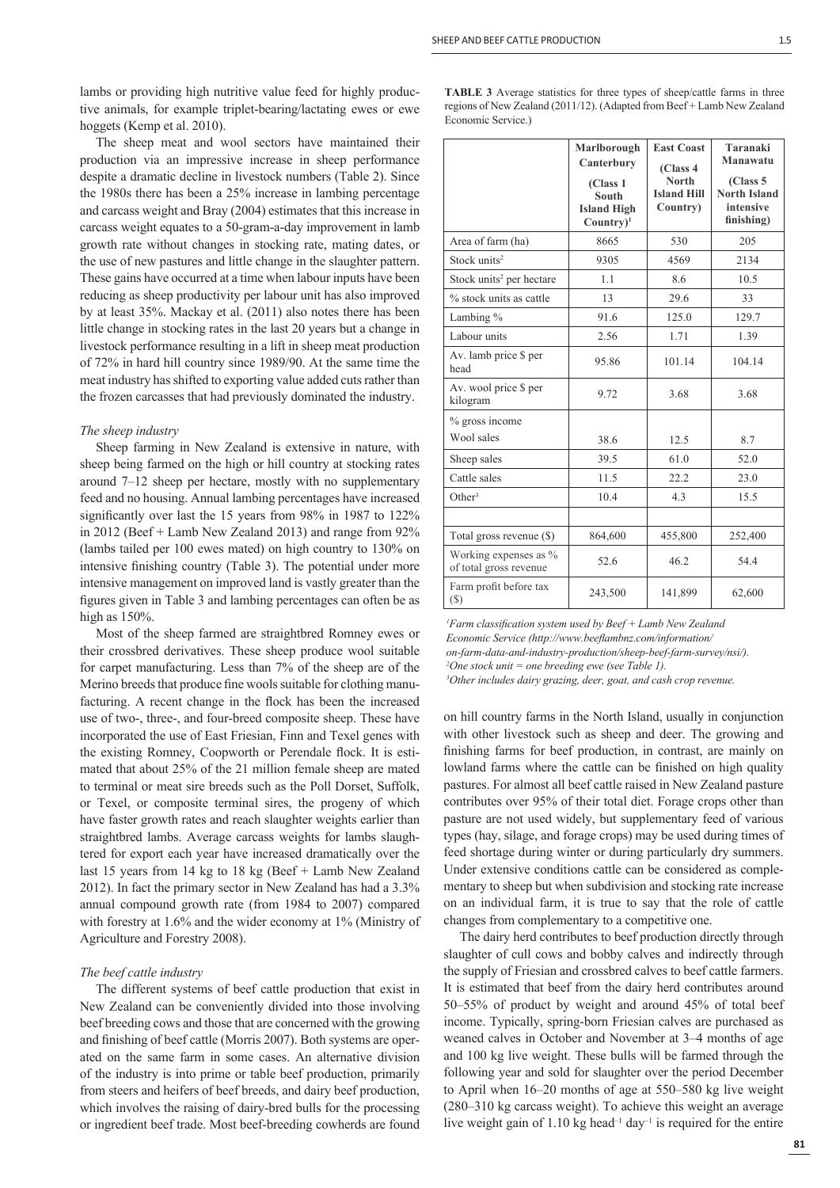lambs or providing high nutritive value feed for highly productive animals, for example triplet-bearing/lactating ewes or ewe hoggets (Kemp et al. 2010).

The sheep meat and wool sectors have maintained their production via an impressive increase in sheep performance despite a dramatic decline in livestock numbers (Table 2). Since the 1980s there has been a 25% increase in lambing percentage and carcass weight and Bray (2004) estimates that this increase in carcass weight equates to a 50-gram-a-day improvement in lamb growth rate without changes in stocking rate, mating dates, or the use of new pastures and little change in the slaughter pattern. These gains have occurred at a time when labour inputs have been reducing as sheep productivity per labour unit has also improved by at least 35%. Mackay et al. (2011) also notes there has been little change in stocking rates in the last 20 years but a change in livestock performance resulting in a lift in sheep meat production of 72% in hard hill country since 1989/90. At the same time the meat industry has shifted to exporting value added cuts rather than the frozen carcasses that had previously dominated the industry.

#### *The sheep industry*

Sheep farming in New Zealand is extensive in nature, with sheep being farmed on the high or hill country at stocking rates around 7–12 sheep per hectare, mostly with no supplementary feed and no housing. Annual lambing percentages have increased significantly over last the 15 years from 98% in 1987 to 122% in 2012 (Beef + Lamb New Zealand 2013) and range from 92% (lambs tailed per 100 ewes mated) on high country to 130% on intensive finishing country (Table 3). The potential under more intensive management on improved land is vastly greater than the figures given in Table 3 and lambing percentages can often be as high as  $150%$ .

Most of the sheep farmed are straightbred Romney ewes or their crossbred derivatives. These sheep produce wool suitable for carpet manufacturing. Less than 7% of the sheep are of the Merino breeds that produce fine wools suitable for clothing manufacturing. A recent change in the flock has been the increased use of two-, three-, and four-breed composite sheep. These have incorporated the use of East Friesian, Finn and Texel genes with the existing Romney, Coopworth or Perendale flock. It is estimated that about 25% of the 21 million female sheep are mated to terminal or meat sire breeds such as the Poll Dorset, Suffolk, or Texel, or composite terminal sires, the progeny of which have faster growth rates and reach slaughter weights earlier than straightbred lambs. Average carcass weights for lambs slaughtered for export each year have increased dramatically over the last 15 years from 14 kg to 18 kg (Beef + Lamb New Zealand 2012). In fact the primary sector in New Zealand has had a 3.3% annual compound growth rate (from 1984 to 2007) compared with forestry at 1.6% and the wider economy at 1% (Ministry of Agriculture and Forestry 2008).

#### *The beef cattle industry*

The different systems of beef cattle production that exist in New Zealand can be conveniently divided into those involving beef breeding cows and those that are concerned with the growing and finishing of beef cattle (Morris 2007). Both systems are operated on the same farm in some cases. An alternative division of the industry is into prime or table beef production, primarily from steers and heifers of beef breeds, and dairy beef production, which involves the raising of dairy-bred bulls for the processing or ingredient beef trade. Most beef-breeding cowherds are found

| <b>TABLE 3</b> Average statistics for three types of sheep/cattle farms in three |  |
|----------------------------------------------------------------------------------|--|
| regions of New Zealand (2011/12). (Adapted from Beef + Lamb New Zealand          |  |
| Economic Service.)                                                               |  |

|                                                 | Marlborough<br>Canterbury<br>(Class 1<br><b>South</b><br><b>Island High</b><br>$Country$ <sup>1</sup> | <b>East Coast</b><br>(Class 4<br><b>North</b><br><b>Island Hill</b><br>Country) | Taranaki<br>Manawatu<br>(Class 5)<br><b>North Island</b><br>intensive<br>finishing) |
|-------------------------------------------------|-------------------------------------------------------------------------------------------------------|---------------------------------------------------------------------------------|-------------------------------------------------------------------------------------|
| Area of farm (ha)                               | 8665                                                                                                  | 530                                                                             | 205                                                                                 |
| Stock units <sup>2</sup>                        | 9305                                                                                                  | 4569                                                                            | 2134                                                                                |
| Stock units <sup>2</sup> per hectare            | 1.1                                                                                                   | 8.6                                                                             | 10.5                                                                                |
| % stock units as cattle                         | 13                                                                                                    | 29.6                                                                            | 33                                                                                  |
| Lambing %                                       | 91.6                                                                                                  | 125.0                                                                           | 129.7                                                                               |
| Labour units                                    | 2.56                                                                                                  | 1.71                                                                            | 1.39                                                                                |
| Av. lamb price \$ per<br>head                   | 95.86                                                                                                 | 101.14                                                                          | 104.14                                                                              |
| Av. wool price \$ per<br>kilogram               | 9.72                                                                                                  | 3.68                                                                            | 3.68                                                                                |
| % gross income<br>Wool sales                    | 38.6                                                                                                  | 12.5                                                                            | 8.7                                                                                 |
| Sheep sales                                     | 39.5                                                                                                  | 61.0                                                                            | 52.0                                                                                |
| Cattle sales                                    | 11.5                                                                                                  | 22.2                                                                            | 23.0                                                                                |
| Other <sup>3</sup>                              | 10.4                                                                                                  | 4.3                                                                             | 15.5                                                                                |
|                                                 |                                                                                                       |                                                                                 |                                                                                     |
| Total gross revenue (\$)                        | 864,600                                                                                               | 455,800                                                                         | 252,400                                                                             |
| Working expenses as %<br>of total gross revenue | 52.6                                                                                                  | 46.2                                                                            | 54.4                                                                                |
| Farm profit before tax<br>$(\$)$                | 243,500                                                                                               | 141,899                                                                         | 62,600                                                                              |

*1 Farm classifi cation system used by Beef + Lamb New Zealand Economic Service (http://www.beefl ambnz.com/information/ on-farm-data-and-industry-production/sheep-beef-farm-survey/nsi/). 2 One stock unit = one breeding ewe (see Table 1). 3 Other includes dairy grazing, deer, goat, and cash crop revenue.* 

on hill country farms in the North Island, usually in conjunction with other livestock such as sheep and deer. The growing and finishing farms for beef production, in contrast, are mainly on lowland farms where the cattle can be finished on high quality pastures. For almost all beef cattle raised in New Zealand pasture contributes over 95% of their total diet. Forage crops other than pasture are not used widely, but supplementary feed of various types (hay, silage, and forage crops) may be used during times of feed shortage during winter or during particularly dry summers. Under extensive conditions cattle can be considered as complementary to sheep but when subdivision and stocking rate increase on an individual farm, it is true to say that the role of cattle changes from complementary to a competitive one.

The dairy herd contributes to beef production directly through slaughter of cull cows and bobby calves and indirectly through the supply of Friesian and crossbred calves to beef cattle farmers. It is estimated that beef from the dairy herd contributes around 50–55% of product by weight and around 45% of total beef income. Typically, spring-born Friesian calves are purchased as weaned calves in October and November at 3–4 months of age and 100 kg live weight. These bulls will be farmed through the following year and sold for slaughter over the period December to April when 16–20 months of age at 550–580 kg live weight (280–310 kg carcass weight). To achieve this weight an average live weight gain of 1.10 kg head<sup>-1</sup> day<sup>-1</sup> is required for the entire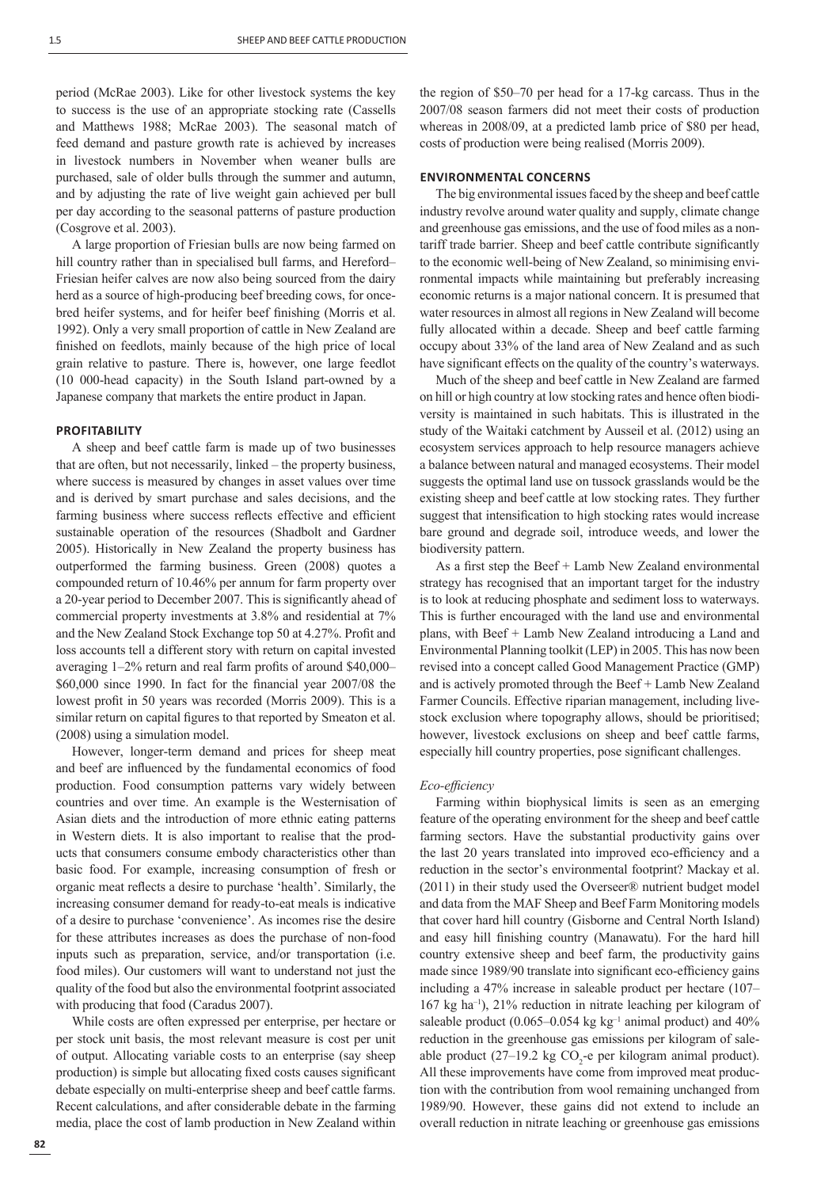period (McRae 2003). Like for other livestock systems the key to success is the use of an appropriate stocking rate (Cassells and Matthews 1988; McRae 2003). The seasonal match of feed demand and pasture growth rate is achieved by increases in livestock numbers in November when weaner bulls are purchased, sale of older bulls through the summer and autumn, and by adjusting the rate of live weight gain achieved per bull per day according to the seasonal patterns of pasture production (Cosgrove et al. 2003).

A large proportion of Friesian bulls are now being farmed on hill country rather than in specialised bull farms, and Hereford– Friesian heifer calves are now also being sourced from the dairy herd as a source of high-producing beef breeding cows, for oncebred heifer systems, and for heifer beef finishing (Morris et al. 1992). Only a very small proportion of cattle in New Zealand are finished on feedlots, mainly because of the high price of local grain relative to pasture. There is, however, one large feedlot (10 000-head capacity) in the South Island part-owned by a Japanese company that markets the entire product in Japan.

#### **PROFITABILITY**

A sheep and beef cattle farm is made up of two businesses that are often, but not necessarily, linked – the property business, where success is measured by changes in asset values over time and is derived by smart purchase and sales decisions, and the farming business where success reflects effective and efficient sustainable operation of the resources (Shadbolt and Gardner 2005). Historically in New Zealand the property business has outperformed the farming business. Green (2008) quotes a compounded return of 10.46% per annum for farm property over a 20-year period to December 2007. This is significantly ahead of commercial property investments at 3.8% and residential at 7% and the New Zealand Stock Exchange top 50 at 4.27%. Profit and loss accounts tell a different story with return on capital invested averaging  $1-2\%$  return and real farm profits of around \$40,000- $$60,000$  since 1990. In fact for the financial year  $2007/08$  the lowest profit in 50 years was recorded (Morris 2009). This is a similar return on capital figures to that reported by Smeaton et al. (2008) using a simulation model.

However, longer-term demand and prices for sheep meat and beef are influenced by the fundamental economics of food production. Food consumption patterns vary widely between countries and over time. An example is the Westernisation of Asian diets and the introduction of more ethnic eating patterns in Western diets. It is also important to realise that the products that consumers consume embody characteristics other than basic food. For example, increasing consumption of fresh or organic meat reflects a desire to purchase 'health'. Similarly, the increasing consumer demand for ready-to-eat meals is indicative of a desire to purchase 'convenience'. As incomes rise the desire for these attributes increases as does the purchase of non-food inputs such as preparation, service, and/or transportation (i.e. food miles). Our customers will want to understand not just the quality of the food but also the environmental footprint associated with producing that food (Caradus 2007).

While costs are often expressed per enterprise, per hectare or per stock unit basis, the most relevant measure is cost per unit of output. Allocating variable costs to an enterprise (say sheep production) is simple but allocating fixed costs causes significant debate especially on multi-enterprise sheep and beef cattle farms. Recent calculations, and after considerable debate in the farming media, place the cost of lamb production in New Zealand within

the region of \$50–70 per head for a 17-kg carcass. Thus in the 2007/08 season farmers did not meet their costs of production whereas in 2008/09, at a predicted lamb price of \$80 per head, costs of production were being realised (Morris 2009).

## **ENVIRONMENTAL CONCERNS**

The big environmental issues faced by the sheep and beef cattle industry revolve around water quality and supply, climate change and greenhouse gas emissions, and the use of food miles as a nontariff trade barrier. Sheep and beef cattle contribute significantly to the economic well-being of New Zealand, so minimising environmental impacts while maintaining but preferably increasing economic returns is a major national concern. It is presumed that water resources in almost all regions in New Zealand will become fully allocated within a decade. Sheep and beef cattle farming occupy about 33% of the land area of New Zealand and as such have significant effects on the quality of the country's waterways.

Much of the sheep and beef cattle in New Zealand are farmed on hill or high country at low stocking rates and hence often biodiversity is maintained in such habitats. This is illustrated in the study of the Waitaki catchment by Ausseil et al. (2012) using an ecosystem services approach to help resource managers achieve a balance between natural and managed ecosystems. Their model suggests the optimal land use on tussock grasslands would be the existing sheep and beef cattle at low stocking rates. They further suggest that intensification to high stocking rates would increase bare ground and degrade soil, introduce weeds, and lower the biodiversity pattern.

As a first step the Beef  $+$  Lamb New Zealand environmental strategy has recognised that an important target for the industry is to look at reducing phosphate and sediment loss to waterways. This is further encouraged with the land use and environmental plans, with Beef + Lamb New Zealand introducing a Land and Environmental Planning toolkit (LEP) in 2005. This has now been revised into a concept called Good Management Practice (GMP) and is actively promoted through the Beef + Lamb New Zealand Farmer Councils. Effective riparian management, including livestock exclusion where topography allows, should be prioritised; however, livestock exclusions on sheep and beef cattle farms, especially hill country properties, pose significant challenges.

#### *Eco-effi ciency*

Farming within biophysical limits is seen as an emerging feature of the operating environment for the sheep and beef cattle farming sectors. Have the substantial productivity gains over the last 20 years translated into improved eco-efficiency and a reduction in the sector's environmental footprint? Mackay et al. (2011) in their study used the Overseer® nutrient budget model and data from the MAF Sheep and Beef Farm Monitoring models that cover hard hill country (Gisborne and Central North Island) and easy hill finishing country (Manawatu). For the hard hill country extensive sheep and beef farm, the productivity gains made since 1989/90 translate into significant eco-efficiency gains including a 47% increase in saleable product per hectare (107– 167 kg ha–1), 21% reduction in nitrate leaching per kilogram of saleable product (0.065–0.054 kg kg<sup>-1</sup> animal product) and  $40\%$ reduction in the greenhouse gas emissions per kilogram of saleable product  $(27-19.2 \text{ kg CO}_2$ -e per kilogram animal product). All these improvements have come from improved meat production with the contribution from wool remaining unchanged from 1989/90. However, these gains did not extend to include an overall reduction in nitrate leaching or greenhouse gas emissions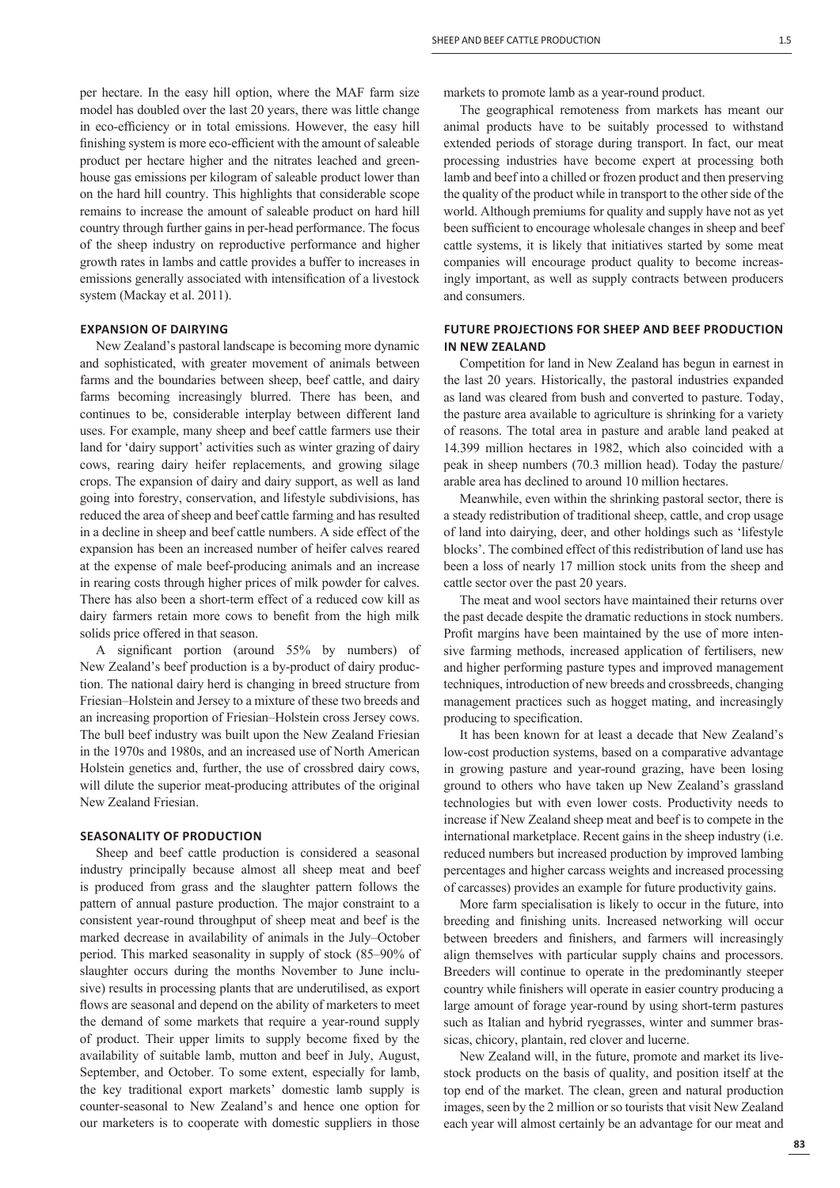per hectare. In the easy hill option, where the MAF farm size model has doubled over the last 20 years, there was little change in eco-efficiency or in total emissions. However, the easy hill finishing system is more eco-efficient with the amount of saleable product per hectare higher and the nitrates leached and greenhouse gas emissions per kilogram of saleable product lower than on the hard hill country. This highlights that considerable scope remains to increase the amount of saleable product on hard hill country through further gains in per-head performance. The focus of the sheep industry on reproductive performance and higher growth rates in lambs and cattle provides a buffer to increases in emissions generally associated with intensification of a livestock system (Mackay et al. 2011).

## **EXPANSION OF DAIRYING**

New Zealand's pastoral landscape is becoming more dynamic and sophisticated, with greater movement of animals between farms and the boundaries between sheep, beef cattle, and dairy farms becoming increasingly blurred. There has been, and continues to be, considerable interplay between different land uses. For example, many sheep and beef cattle farmers use their land for 'dairy support' activities such as winter grazing of dairy cows, rearing dairy heifer replacements, and growing silage crops. The expansion of dairy and dairy support, as well as land going into forestry, conservation, and lifestyle subdivisions, has reduced the area of sheep and beef cattle farming and has resulted in a decline in sheep and beef cattle numbers. A side effect of the expansion has been an increased number of heifer calves reared at the expense of male beef-producing animals and an increase in rearing costs through higher prices of milk powder for calves. There has also been a short-term effect of a reduced cow kill as dairy farmers retain more cows to benefit from the high milk solids price offered in that season.

A significant portion (around 55% by numbers) of New Zealand's beef production is a by-product of dairy production. The national dairy herd is changing in breed structure from Friesian–Holstein and Jersey to a mixture of these two breeds and an increasing proportion of Friesian–Holstein cross Jersey cows. The bull beef industry was built upon the New Zealand Friesian in the 1970s and 1980s, and an increased use of North American Holstein genetics and, further, the use of crossbred dairy cows, will dilute the superior meat-producing attributes of the original New Zealand Friesian.

## **SEASONALITY OF PRODUCTION**

Sheep and beef cattle production is considered a seasonal industry principally because almost all sheep meat and beef is produced from grass and the slaughter pattern follows the pattern of annual pasture production. The major constraint to a consistent year-round throughput of sheep meat and beef is the marked decrease in availability of animals in the July–October period. This marked seasonality in supply of stock (85–90% of slaughter occurs during the months November to June inclusive) results in processing plants that are underutilised, as export flows are seasonal and depend on the ability of marketers to meet the demand of some markets that require a year-round supply of product. Their upper limits to supply become fixed by the availability of suitable lamb, mutton and beef in July, August, September, and October. To some extent, especially for lamb, the key traditional export markets' domestic lamb supply is counter-seasonal to New Zealand's and hence one option for our marketers is to cooperate with domestic suppliers in those

markets to promote lamb as a year-round product.

The geographical remoteness from markets has meant our animal products have to be suitably processed to withstand extended periods of storage during transport. In fact, our meat processing industries have become expert at processing both lamb and beef into a chilled or frozen product and then preserving the quality of the product while in transport to the other side of the world. Although premiums for quality and supply have not as yet been sufficient to encourage wholesale changes in sheep and beef cattle systems, it is likely that initiatives started by some meat companies will encourage product quality to become increasingly important, as well as supply contracts between producers and consumers.

## **FUTURE PROJECTIONS FOR SHEEP AND BEEF PRODUCTION IN NEW ZEALAND**

Competition for land in New Zealand has begun in earnest in the last 20 years. Historically, the pastoral industries expanded as land was cleared from bush and converted to pasture. Today, the pasture area available to agriculture is shrinking for a variety of reasons. The total area in pasture and arable land peaked at 14.399 million hectares in 1982, which also coincided with a peak in sheep numbers (70.3 million head). Today the pasture/ arable area has declined to around 10 million hectares.

Meanwhile, even within the shrinking pastoral sector, there is a steady redistribution of traditional sheep, cattle, and crop usage of land into dairying, deer, and other holdings such as 'lifestyle blocks'. The combined effect of this redistribution of land use has been a loss of nearly 17 million stock units from the sheep and cattle sector over the past 20 years.

The meat and wool sectors have maintained their returns over the past decade despite the dramatic reductions in stock numbers. Profit margins have been maintained by the use of more intensive farming methods, increased application of fertilisers, new and higher performing pasture types and improved management techniques, introduction of new breeds and crossbreeds, changing management practices such as hogget mating, and increasingly producing to specification.

It has been known for at least a decade that New Zealand's low-cost production systems, based on a comparative advantage in growing pasture and year-round grazing, have been losing ground to others who have taken up New Zealand's grassland technologies but with even lower costs. Productivity needs to increase if New Zealand sheep meat and beef is to compete in the international marketplace. Recent gains in the sheep industry (i.e. reduced numbers but increased production by improved lambing percentages and higher carcass weights and increased processing of carcasses) provides an example for future productivity gains.

More farm specialisation is likely to occur in the future, into breeding and finishing units. Increased networking will occur between breeders and finishers, and farmers will increasingly align themselves with particular supply chains and processors. Breeders will continue to operate in the predominantly steeper country while finishers will operate in easier country producing a large amount of forage year-round by using short-term pastures such as Italian and hybrid ryegrasses, winter and summer brassicas, chicory, plantain, red clover and lucerne.

New Zealand will, in the future, promote and market its livestock products on the basis of quality, and position itself at the top end of the market. The clean, green and natural production images, seen by the 2 million or so tourists that visit New Zealand each year will almost certainly be an advantage for our meat and